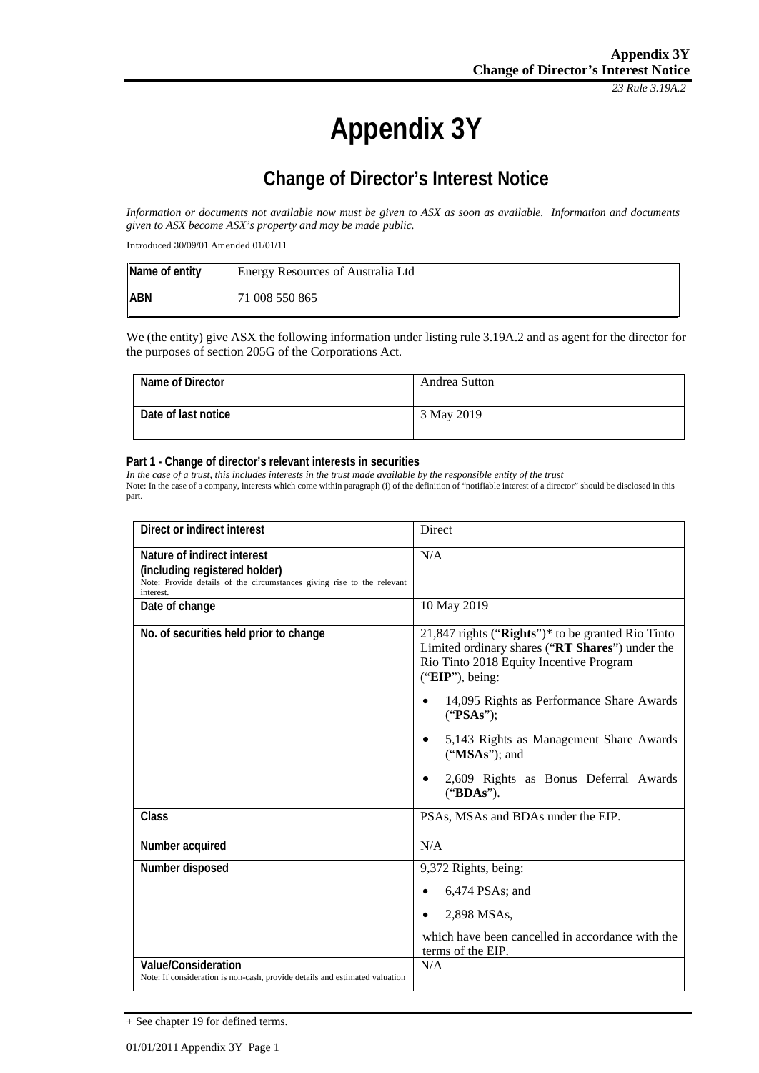*23 Rule 3.19A.2*

# **Appendix 3Y**

# **Change of Director's Interest Notice**

*Information or documents not available now must be given to ASX as soon as available. Information and documents given to ASX become ASX's property and may be made public.*

Introduced 30/09/01 Amended 01/01/11

| Name of entity | Energy Resources of Australia Ltd |
|----------------|-----------------------------------|
| <b>ABN</b>     | 71 008 550 865                    |

We (the entity) give ASX the following information under listing rule 3.19A.2 and as agent for the director for the purposes of section 205G of the Corporations Act.

| Name of Director    | Andrea Sutton |
|---------------------|---------------|
| Date of last notice | 3 May 2019    |

#### **Part 1 - Change of director's relevant interests in securities**

*In the case of a trust, this includes interests in the trust made available by the responsible entity of the trust* Note: In the case of a company, interests which come within paragraph (i) of the definition of "notifiable interest of a director" should be disclosed in this part.

| Direct or indirect interest                                                                                                                         | <b>Direct</b>                                                                                                                                                        |
|-----------------------------------------------------------------------------------------------------------------------------------------------------|----------------------------------------------------------------------------------------------------------------------------------------------------------------------|
| Nature of indirect interest<br>(including registered holder)<br>Note: Provide details of the circumstances giving rise to the relevant<br>interest. | N/A                                                                                                                                                                  |
| Date of change                                                                                                                                      | 10 May 2019                                                                                                                                                          |
| No. of securities held prior to change                                                                                                              | $21,847$ rights ("Rights")* to be granted Rio Tinto<br>Limited ordinary shares ("RT Shares") under the<br>Rio Tinto 2018 Equity Incentive Program<br>("EIP"), being: |
|                                                                                                                                                     | 14,095 Rights as Performance Share Awards<br>("PSAs");                                                                                                               |
|                                                                                                                                                     | 5,143 Rights as Management Share Awards<br>$("MSAs")$ ; and                                                                                                          |
|                                                                                                                                                     | 2,609 Rights as Bonus Deferral Awards<br>("BDAs").                                                                                                                   |
| Class                                                                                                                                               | PSAs, MSAs and BDAs under the EIP.                                                                                                                                   |
| Number acquired                                                                                                                                     | N/A                                                                                                                                                                  |
| Number disposed                                                                                                                                     | 9,372 Rights, being:                                                                                                                                                 |
|                                                                                                                                                     | $6,474$ PSAs; and                                                                                                                                                    |
|                                                                                                                                                     | 2,898 MSAs,                                                                                                                                                          |
|                                                                                                                                                     | which have been cancelled in accordance with the<br>terms of the EIP.                                                                                                |
| <b>Value/Consideration</b><br>Note: If consideration is non-cash, provide details and estimated valuation                                           | N/A                                                                                                                                                                  |

<sup>+</sup> See chapter 19 for defined terms.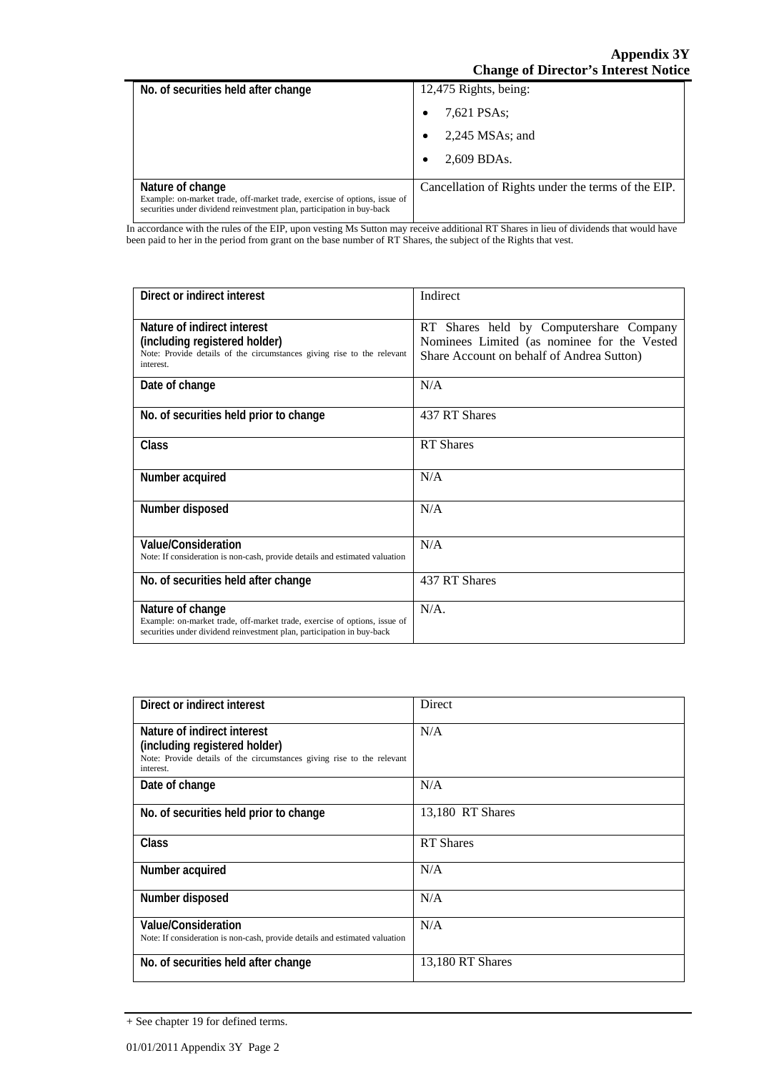#### **Appendix 3Y Change of Director's Interest Notice**

| No. of securities held after change                                                                                                                                     | 12,475 Rights, being:                              |
|-------------------------------------------------------------------------------------------------------------------------------------------------------------------------|----------------------------------------------------|
|                                                                                                                                                                         | 7,621 PSAs;                                        |
|                                                                                                                                                                         | $2,245$ MSAs; and                                  |
|                                                                                                                                                                         | 2,609 BDAs.                                        |
| Nature of change<br>Example: on-market trade, off-market trade, exercise of options, issue of<br>securities under dividend reinvestment plan, participation in buy-back | Cancellation of Rights under the terms of the EIP. |

In accordance with the rules of the EIP, upon vesting Ms Sutton may receive additional RT Shares in lieu of dividends that would have been paid to her in the period from grant on the base number of RT Shares, the subject of the Rights that vest.

| Direct or indirect interest                                                                                                                                             | Indirect                                                                                                                            |
|-------------------------------------------------------------------------------------------------------------------------------------------------------------------------|-------------------------------------------------------------------------------------------------------------------------------------|
| Nature of indirect interest<br>(including registered holder)<br>Note: Provide details of the circumstances giving rise to the relevant<br>interest.                     | RT Shares held by Computershare Company<br>Nominees Limited (as nominee for the Vested<br>Share Account on behalf of Andrea Sutton) |
| Date of change                                                                                                                                                          | N/A                                                                                                                                 |
| No. of securities held prior to change                                                                                                                                  | 437 RT Shares                                                                                                                       |
| Class                                                                                                                                                                   | <b>RT</b> Shares                                                                                                                    |
| Number acquired                                                                                                                                                         | N/A                                                                                                                                 |
| Number disposed                                                                                                                                                         | N/A                                                                                                                                 |
| Value/Consideration<br>Note: If consideration is non-cash, provide details and estimated valuation                                                                      | N/A                                                                                                                                 |
| No. of securities held after change                                                                                                                                     | 437 RT Shares                                                                                                                       |
| Nature of change<br>Example: on-market trade, off-market trade, exercise of options, issue of<br>securities under dividend reinvestment plan, participation in buy-back | $N/A$ .                                                                                                                             |

| Direct or indirect interest                                                                                          | Direct           |
|----------------------------------------------------------------------------------------------------------------------|------------------|
| Nature of indirect interest                                                                                          | N/A              |
| (including registered holder)<br>Note: Provide details of the circumstances giving rise to the relevant<br>interest. |                  |
| Date of change                                                                                                       | N/A              |
| No. of securities held prior to change                                                                               | 13,180 RT Shares |
| <b>Class</b>                                                                                                         | <b>RT</b> Shares |
| Number acquired                                                                                                      | N/A              |
| Number disposed                                                                                                      | N/A              |
| Value/Consideration<br>Note: If consideration is non-cash, provide details and estimated valuation                   | N/A              |
| No. of securities held after change                                                                                  | 13,180 RT Shares |

<sup>+</sup> See chapter 19 for defined terms.

Ē.